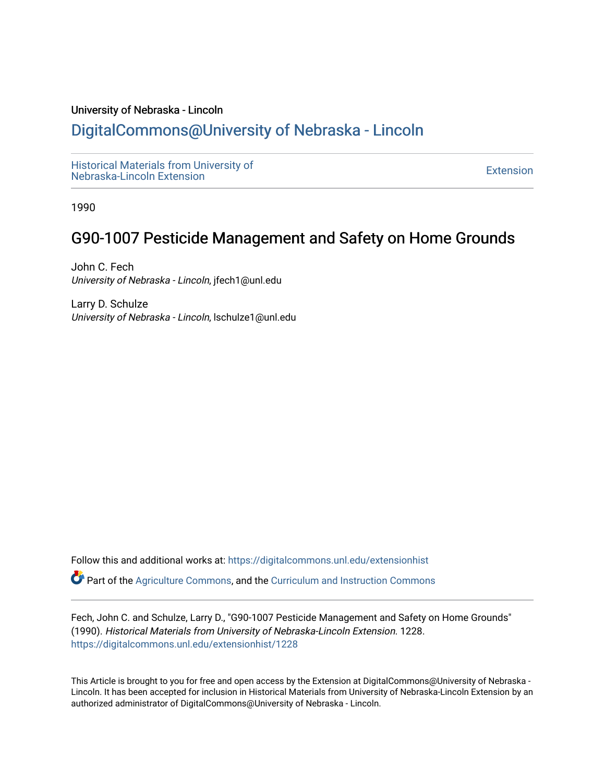#### University of Nebraska - Lincoln

# [DigitalCommons@University of Nebraska - Lincoln](https://digitalcommons.unl.edu/)

[Historical Materials from University of](https://digitalcommons.unl.edu/extensionhist)  nistorical Materials from Oniversity of the control of the control of the [Extension](https://digitalcommons.unl.edu/coop_extension) Extension extension of the<br>Nebraska-Lincoln Extension

1990

# G90-1007 Pesticide Management and Safety on Home Grounds

John C. Fech University of Nebraska - Lincoln, jfech1@unl.edu

Larry D. Schulze University of Nebraska - Lincoln, lschulze1@unl.edu

Follow this and additional works at: [https://digitalcommons.unl.edu/extensionhist](https://digitalcommons.unl.edu/extensionhist?utm_source=digitalcommons.unl.edu%2Fextensionhist%2F1228&utm_medium=PDF&utm_campaign=PDFCoverPages) 

Part of the [Agriculture Commons](http://network.bepress.com/hgg/discipline/1076?utm_source=digitalcommons.unl.edu%2Fextensionhist%2F1228&utm_medium=PDF&utm_campaign=PDFCoverPages), and the [Curriculum and Instruction Commons](http://network.bepress.com/hgg/discipline/786?utm_source=digitalcommons.unl.edu%2Fextensionhist%2F1228&utm_medium=PDF&utm_campaign=PDFCoverPages) 

Fech, John C. and Schulze, Larry D., "G90-1007 Pesticide Management and Safety on Home Grounds" (1990). Historical Materials from University of Nebraska-Lincoln Extension. 1228. [https://digitalcommons.unl.edu/extensionhist/1228](https://digitalcommons.unl.edu/extensionhist/1228?utm_source=digitalcommons.unl.edu%2Fextensionhist%2F1228&utm_medium=PDF&utm_campaign=PDFCoverPages) 

This Article is brought to you for free and open access by the Extension at DigitalCommons@University of Nebraska - Lincoln. It has been accepted for inclusion in Historical Materials from University of Nebraska-Lincoln Extension by an authorized administrator of DigitalCommons@University of Nebraska - Lincoln.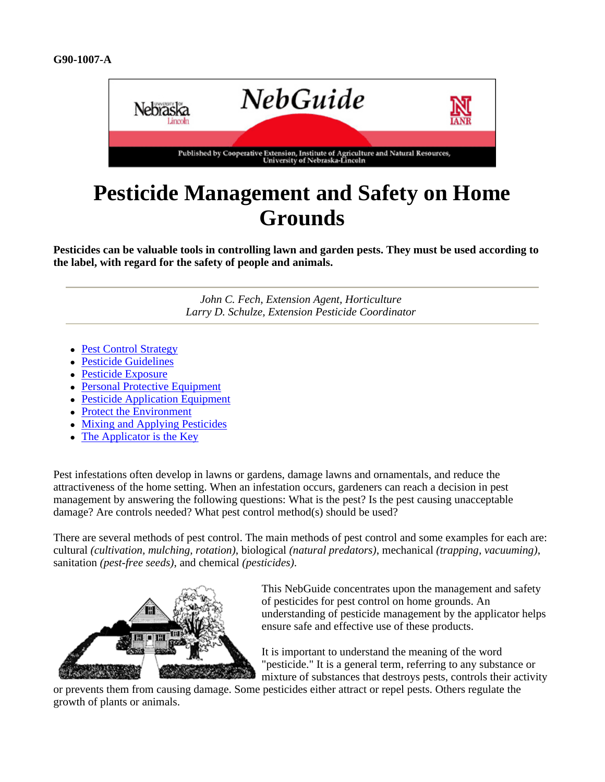

# **Pesticide Management and Safety on Home Grounds**

**Pesticides can be valuable tools in controlling lawn and garden pests. They must be used according to the label, with regard for the safety of people and animals.**

> *John C. Fech, Extension Agent, Horticulture Larry D. Schulze, Extension Pesticide Coordinator*

- Pest Control Strategy
- Pesticide Guidelines
- Pesticide Exposure
- Personal Protective Equipment
- Pesticide Application Equipment
- Protect the Environment
- Mixing and Applying Pesticides
- $\bullet$  The Applicator is the Key

Pest infestations often develop in lawns or gardens, damage lawns and ornamentals, and reduce the attractiveness of the home setting. When an infestation occurs, gardeners can reach a decision in pest management by answering the following questions: What is the pest? Is the pest causing unacceptable damage? Are controls needed? What pest control method(s) should be used?

There are several methods of pest control. The main methods of pest control and some examples for each are: cultural *(cultivation, mulching, rotation)*, biological *(natural predators)*, mechanical *(trapping, vacuuming)*, sanitation *(pest-free seeds)*, and chemical *(pesticides)*.

![](_page_1_Picture_15.jpeg)

This NebGuide concentrates upon the management and safety of pesticides for pest control on home grounds. An understanding of pesticide management by the applicator helps ensure safe and effective use of these products.

It is important to understand the meaning of the word "pesticide." It is a general term, referring to any substance or mixture of substances that destroys pests, controls their activity

or prevents them from causing damage. Some pesticides either attract or repel pests. Others regulate the growth of plants or animals.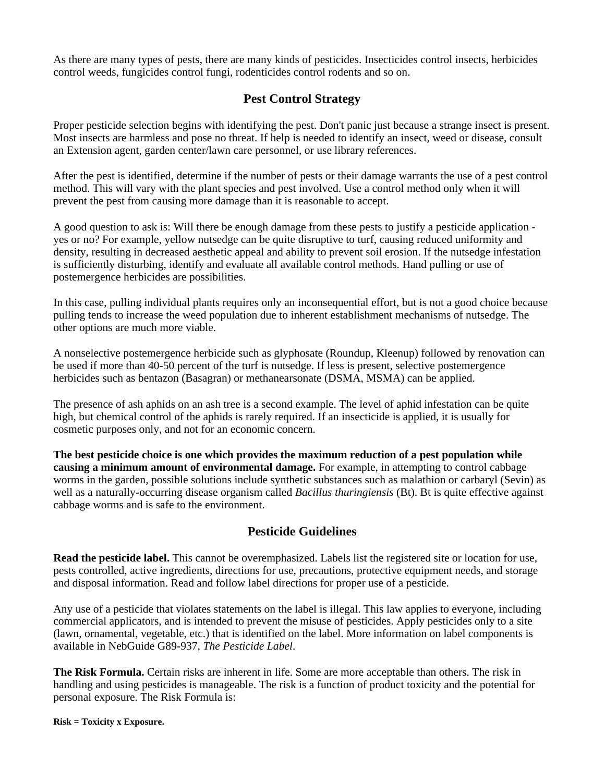As there are many types of pests, there are many kinds of pesticides. Insecticides control insects, herbicides control weeds, fungicides control fungi, rodenticides control rodents and so on.

#### **Pest Control Strategy**

Proper pesticide selection begins with identifying the pest. Don't panic just because a strange insect is present. Most insects are harmless and pose no threat. If help is needed to identify an insect, weed or disease, consult an Extension agent, garden center/lawn care personnel, or use library references.

After the pest is identified, determine if the number of pests or their damage warrants the use of a pest control method. This will vary with the plant species and pest involved. Use a control method only when it will prevent the pest from causing more damage than it is reasonable to accept.

A good question to ask is: Will there be enough damage from these pests to justify a pesticide application yes or no? For example, yellow nutsedge can be quite disruptive to turf, causing reduced uniformity and density, resulting in decreased aesthetic appeal and ability to prevent soil erosion. If the nutsedge infestation is sufficiently disturbing, identify and evaluate all available control methods. Hand pulling or use of postemergence herbicides are possibilities.

In this case, pulling individual plants requires only an inconsequential effort, but is not a good choice because pulling tends to increase the weed population due to inherent establishment mechanisms of nutsedge. The other options are much more viable.

A nonselective postemergence herbicide such as glyphosate (Roundup, Kleenup) followed by renovation can be used if more than 40-50 percent of the turf is nutsedge. If less is present, selective postemergence herbicides such as bentazon (Basagran) or methanearsonate (DSMA, MSMA) can be applied.

The presence of ash aphids on an ash tree is a second example. The level of aphid infestation can be quite high, but chemical control of the aphids is rarely required. If an insecticide is applied, it is usually for cosmetic purposes only, and not for an economic concern.

**The best pesticide choice is one which provides the maximum reduction of a pest population while causing a minimum amount of environmental damage.** For example, in attempting to control cabbage worms in the garden, possible solutions include synthetic substances such as malathion or carbaryl (Sevin) as well as a naturally-occurring disease organism called *Bacillus thuringiensis* (Bt). Bt is quite effective against cabbage worms and is safe to the environment.

#### **Pesticide Guidelines**

**Read the pesticide label.** This cannot be overemphasized. Labels list the registered site or location for use, pests controlled, active ingredients, directions for use, precautions, protective equipment needs, and storage and disposal information. Read and follow label directions for proper use of a pesticide.

Any use of a pesticide that violates statements on the label is illegal. This law applies to everyone, including commercial applicators, and is intended to prevent the misuse of pesticides. Apply pesticides only to a site (lawn, ornamental, vegetable, etc.) that is identified on the label. More information on label components is available in NebGuide G89-937, *The Pesticide Label*.

**The Risk Formula.** Certain risks are inherent in life. Some are more acceptable than others. The risk in handling and using pesticides is manageable. The risk is a function of product toxicity and the potential for personal exposure. The Risk Formula is:

**Risk = Toxicity x Exposure.**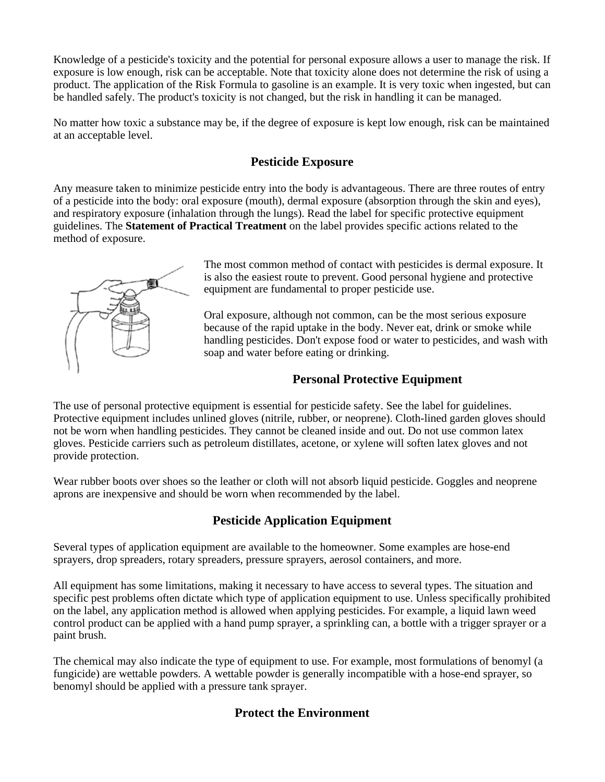Knowledge of a pesticide's toxicity and the potential for personal exposure allows a user to manage the risk. If exposure is low enough, risk can be acceptable. Note that toxicity alone does not determine the risk of using a product. The application of the Risk Formula to gasoline is an example. It is very toxic when ingested, but can be handled safely. The product's toxicity is not changed, but the risk in handling it can be managed.

No matter how toxic a substance may be, if the degree of exposure is kept low enough, risk can be maintained at an acceptable level.

#### **Pesticide Exposure**

Any measure taken to minimize pesticide entry into the body is advantageous. There are three routes of entry of a pesticide into the body: oral exposure (mouth), dermal exposure (absorption through the skin and eyes), and respiratory exposure (inhalation through the lungs). Read the label for specific protective equipment guidelines. The **Statement of Practical Treatment** on the label provides specific actions related to the method of exposure.

![](_page_3_Picture_4.jpeg)

The most common method of contact with pesticides is dermal exposure. It is also the easiest route to prevent. Good personal hygiene and protective equipment are fundamental to proper pesticide use.

Oral exposure, although not common, can be the most serious exposure because of the rapid uptake in the body. Never eat, drink or smoke while handling pesticides. Don't expose food or water to pesticides, and wash with soap and water before eating or drinking.

# **Personal Protective Equipment**

The use of personal protective equipment is essential for pesticide safety. See the label for guidelines. Protective equipment includes unlined gloves (nitrile, rubber, or neoprene). Cloth-lined garden gloves should not be worn when handling pesticides. They cannot be cleaned inside and out. Do not use common latex gloves. Pesticide carriers such as petroleum distillates, acetone, or xylene will soften latex gloves and not provide protection.

Wear rubber boots over shoes so the leather or cloth will not absorb liquid pesticide. Goggles and neoprene aprons are inexpensive and should be worn when recommended by the label.

# **Pesticide Application Equipment**

Several types of application equipment are available to the homeowner. Some examples are hose-end sprayers, drop spreaders, rotary spreaders, pressure sprayers, aerosol containers, and more.

All equipment has some limitations, making it necessary to have access to several types. The situation and specific pest problems often dictate which type of application equipment to use. Unless specifically prohibited on the label, any application method is allowed when applying pesticides. For example, a liquid lawn weed control product can be applied with a hand pump sprayer, a sprinkling can, a bottle with a trigger sprayer or a paint brush.

The chemical may also indicate the type of equipment to use. For example, most formulations of benomyl (a fungicide) are wettable powders. A wettable powder is generally incompatible with a hose-end sprayer, so benomyl should be applied with a pressure tank sprayer.

# **Protect the Environment**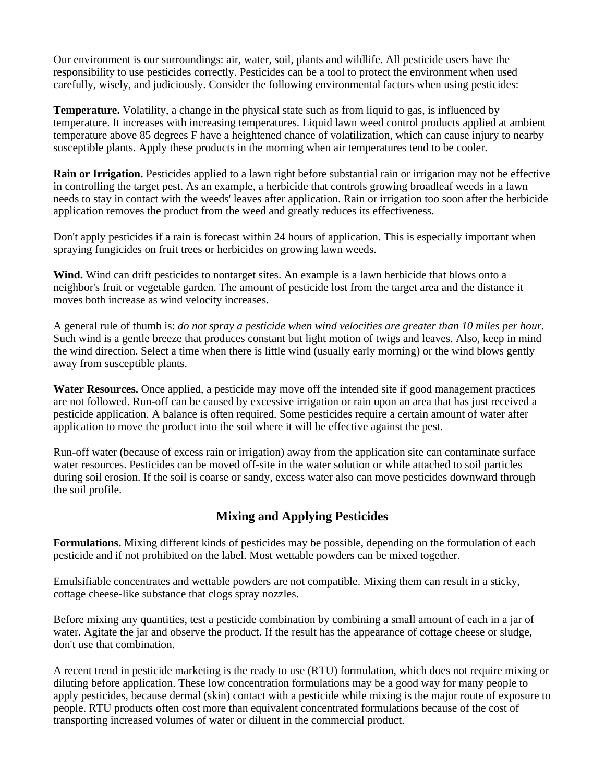Our environment is our surroundings: air, water, soil, plants and wildlife. All pesticide users have the responsibility to use pesticides correctly. Pesticides can be a tool to protect the environment when used carefully, wisely, and judiciously. Consider the following environmental factors when using pesticides:

**Temperature.** Volatility, a change in the physical state such as from liquid to gas, is influenced by temperature. It increases with increasing temperatures. Liquid lawn weed control products applied at ambient temperature above 85 degrees F have a heightened chance of volatilization, which can cause injury to nearby susceptible plants. Apply these products in the morning when air temperatures tend to be cooler.

**Rain or Irrigation.** Pesticides applied to a lawn right before substantial rain or irrigation may not be effective in controlling the target pest. As an example, a herbicide that controls growing broadleaf weeds in a lawn needs to stay in contact with the weeds' leaves after application. Rain or irrigation too soon after the herbicide application removes the product from the weed and greatly reduces its effectiveness.

Don't apply pesticides if a rain is forecast within 24 hours of application. This is especially important when spraying fungicides on fruit trees or herbicides on growing lawn weeds.

**Wind.** Wind can drift pesticides to nontarget sites. An example is a lawn herbicide that blows onto a neighbor's fruit or vegetable garden. The amount of pesticide lost from the target area and the distance it moves both increase as wind velocity increases.

A general rule of thumb is: *do not spray a pesticide when wind velocities are greater than 10 miles per hour.* Such wind is a gentle breeze that produces constant but light motion of twigs and leaves. Also, keep in mind the wind direction. Select a time when there is little wind (usually early morning) or the wind blows gently away from susceptible plants.

**Water Resources.** Once applied, a pesticide may move off the intended site if good management practices are not followed. Run-off can be caused by excessive irrigation or rain upon an area that has just received a pesticide application. A balance is often required. Some pesticides require a certain amount of water after application to move the product into the soil where it will be effective against the pest.

Run-off water (because of excess rain or irrigation) away from the application site can contaminate surface water resources. Pesticides can be moved off-site in the water solution or while attached to soil particles during soil erosion. If the soil is coarse or sandy, excess water also can move pesticides downward through the soil profile.

# **Mixing and Applying Pesticides**

**Formulations.** Mixing different kinds of pesticides may be possible, depending on the formulation of each pesticide and if not prohibited on the label. Most wettable powders can be mixed together.

Emulsifiable concentrates and wettable powders are not compatible. Mixing them can result in a sticky, cottage cheese-like substance that clogs spray nozzles.

Before mixing any quantities, test a pesticide combination by combining a small amount of each in a jar of water. Agitate the jar and observe the product. If the result has the appearance of cottage cheese or sludge, don't use that combination.

A recent trend in pesticide marketing is the ready to use (RTU) formulation, which does not require mixing or diluting before application. These low concentration formulations may be a good way for many people to apply pesticides, because dermal (skin) contact with a pesticide while mixing is the major route of exposure to people. RTU products often cost more than equivalent concentrated formulations because of the cost of transporting increased volumes of water or diluent in the commercial product.